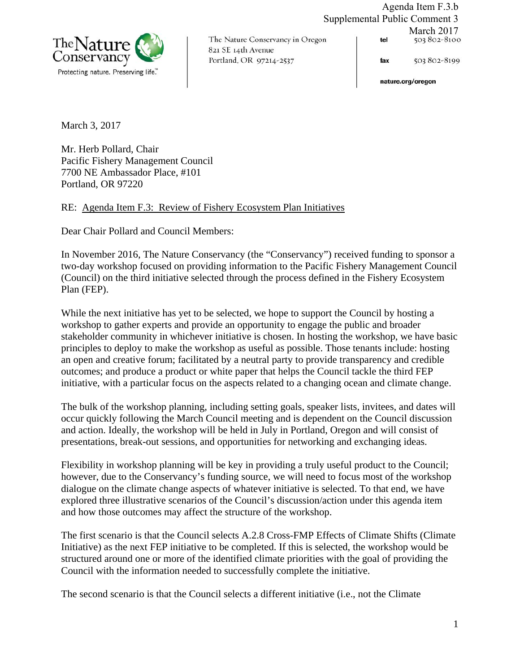

The Nature Conservancy in Oregon 821 SE 14th Avenue Portland, OR 97214-2537

Agenda Item F.3.b Supplemental Public Comment 3 March 2017<br>503 802-8100 tel

> 503 802-8199 fax

nature.org/oregon

March 3, 2017

Mr. Herb Pollard, Chair Pacific Fishery Management Council 7700 NE Ambassador Place, #101 Portland, OR 97220

RE: Agenda Item F.3: Review of Fishery Ecosystem Plan Initiatives

Dear Chair Pollard and Council Members:

In November 2016, The Nature Conservancy (the "Conservancy") received funding to sponsor a two-day workshop focused on providing information to the Pacific Fishery Management Council (Council) on the third initiative selected through the process defined in the Fishery Ecosystem Plan (FEP).

While the next initiative has yet to be selected, we hope to support the Council by hosting a workshop to gather experts and provide an opportunity to engage the public and broader stakeholder community in whichever initiative is chosen. In hosting the workshop, we have basic principles to deploy to make the workshop as useful as possible. Those tenants include: hosting an open and creative forum; facilitated by a neutral party to provide transparency and credible outcomes; and produce a product or white paper that helps the Council tackle the third FEP initiative, with a particular focus on the aspects related to a changing ocean and climate change.

The bulk of the workshop planning, including setting goals, speaker lists, invitees, and dates will occur quickly following the March Council meeting and is dependent on the Council discussion and action. Ideally, the workshop will be held in July in Portland, Oregon and will consist of presentations, break-out sessions, and opportunities for networking and exchanging ideas.

Flexibility in workshop planning will be key in providing a truly useful product to the Council; however, due to the Conservancy's funding source, we will need to focus most of the workshop dialogue on the climate change aspects of whatever initiative is selected. To that end, we have explored three illustrative scenarios of the Council's discussion/action under this agenda item and how those outcomes may affect the structure of the workshop.

The first scenario is that the Council selects A.2.8 Cross-FMP Effects of Climate Shifts (Climate Initiative) as the next FEP initiative to be completed. If this is selected, the workshop would be structured around one or more of the identified climate priorities with the goal of providing the Council with the information needed to successfully complete the initiative.

The second scenario is that the Council selects a different initiative (i.e., not the Climate